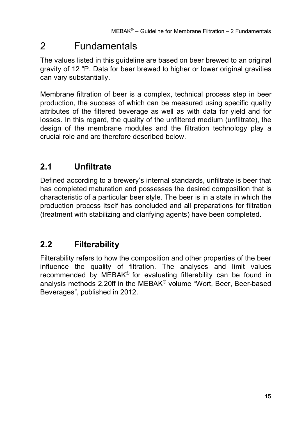# 2 Fundamentals

The values listed in this guideline are based on beer brewed to an original gravity of 12 °P. Data for beer brewed to higher or lower original gravities can vary substantially.

Membrane filtration of beer is a complex, technical process step in beer production, the success of which can be measured using specific quality attributes of the filtered beverage as well as with data for yield and for losses. In this regard, the quality of the unfiltered medium (unfiltrate), the design of the membrane modules and the filtration technology play a crucial role and are therefore described below.

## **2.1 Unfiltrate**

Defined according to a brewery's internal standards, unfiltrate is beer that has completed maturation and possesses the desired composition that is characteristic of a particular beer style. The beer is in a state in which the production process itself has concluded and all preparations for filtration (treatment with stabilizing and clarifying agents) have been completed.

## **2.2 Filterability**

Filterability refers to how the composition and other properties of the beer influence the quality of filtration. The analyses and limit values recommended by MEBAK® for evaluating filterability can be found in analysis methods 2.20ff in the MEBAK® volume "Wort, Beer, Beer-based Beverages", published in 2012.